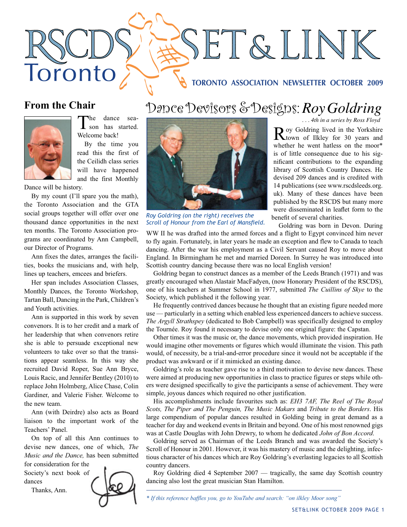# SET&LINK Toronto **TORONTO ASSOCIATION NEWSLETTER OCTOBER 2009**

## **From the Chair**



The dance sea-<br>son has started. Welcome back!

By the time you read this the first of the Ceilidh class series will have happened and the first Monthly

Dance will be history.

By my count (I'll spare you the math), the Toronto Association and the GTA social groups together will offer over one thousand dance opportunities in the next ten months. The Toronto Association programs are coordinated by Ann Campbell, our Director of Programs.

Ann fixes the dates, arranges the facilities, books the musicians and, with help, lines up teachers, emcees and briefers.

Her span includes Association Classes, Monthly Dances, the Toronto Workshop, Tartan Ball, Dancing in the Park, Children's and Youth activities.

Ann is supported in this work by seven convenors. It is to her credit and a mark of her leadership that when convenors retire she is able to persuade exceptional new volunteers to take over so that the transitions appear seamless. In this way she recruited David Roper, Sue Ann Bryce, Louis Racic, and Jennifer Bentley (2010) to replace John Holmberg, Alice Chase, Colin Gardiner, and Valerie Fisher. Welcome to the new team.

Ann (with Deirdre) also acts as Board liaison to the important work of the Teachers' Panel.

On top of all this Ann continues to devise new dances, one of which, *The Music and the Dance,* has been submitted

for consideration for the Society's next book of dances

Thanks, Ann.



## *. . . 4th in a series by Ross Floyd* Dance Devisors & Designs: *Roy Goldring*



*Roy Goldring (on the right) receives the*  **Scroll of Honour from the Earl of Mansfield.** 

Roy Goldring lived in the Yorkshire<br>
town of Ilkley for 30 years and whether he went hatless on the moor\* is of little consequence due to his significant contributions to the expanding library of Scottish Country Dances. He devised 209 dances and is credited with 14 publications (see www.rscdsleeds.org. uk). Many of these dances have been published by the RSCDS but many more were disseminated in leaflet form to the benefit of several charities.

Goldring was born in Devon. During

WW II he was drafted into the armed forces and a flight to Egypt convinced him never to fly again. Fortunately, in later years he made an exception and flew to Canada to teach dancing. After the war his employment as a Civil Servant caused Roy to move about England. In Birmingham he met and married Doreen. In Surrey he was introduced into Scottish country dancing because there was no local English version!

Goldring began to construct dances as a member of the Leeds Branch (1971) and was greatly encouraged when Alastair MacFadyen, (now Honorary President of the RSCDS), one of his teachers at Summer School in 1977, submitted *The Cuillins of Skye* to the Society, which published it the following year.

He frequently contrived dances because he thought that an existing figure needed more use — particularly in a setting which enabled less experienced dancers to achieve success. *The Argyll Strathspey* (dedicated to Bob Campbell) was specifically designed to employ the Tournée. Roy found it necessary to devise only one original figure: the Capstan.

Other times it was the music or, the dance movements, which provided inspiration. He would imagine other movements or figures which would illuminate the vision. This path would, of necessity, be a trial-and-error procedure since it would not be acceptable if the product was awkward or if it mimicked an existing dance.

Goldring's role as teacher gave rise to a third motivation to devise new dances. These were aimed at producing new opportunities in class to practice figures or steps while others were designed specifically to give the participants a sense of achievement. They were simple, joyous dances which required no other justification.

His accomplishments include favourites such as: *EH3 7AF, The Reel of The Royal Scots, The Piper and The Penguin, The Music Makars* and *Tribute to the Borders*. His large compendium of popular dances resulted in Golding being in great demand as a teacher for day and weekend events in Britain and beyond. One of his most renowned gigs was at Castle Douglas with John Drewry, to whom he dedicated *John of Bon Accord*.

Goldring served as Chairman of the Leeds Branch and was awarded the Society's Scroll of Honour in 2001. However, it was his mastery of music and the delighting, infectious character of his dances which are Roy Goldring's everlasting legacies to all Scottish country dancers.

Roy Goldring died 4 September 2007 — tragically, the same day Scottish country dancing also lost the great musician Stan Hamilton.

*<sup>\*</sup> If this reference baffles you, go to YouTube and search: "on ilkley Moor song"*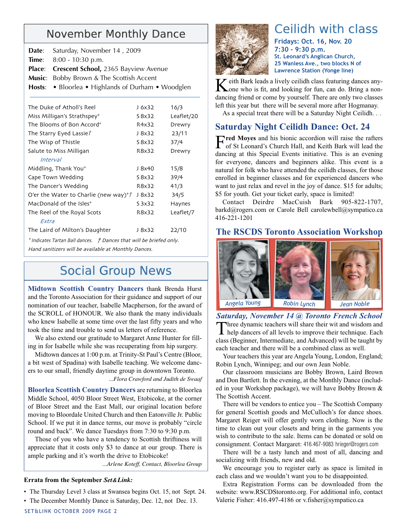## November Monthly Dance

| Date: Saturday, November 14, 2009                  |
|----------------------------------------------------|
| <b>Time:</b> $8:00 - 10:30 \text{ p.m.}$           |
| Place: Crescent School, 2365 Bayview Avenue        |
| <b>Music:</b> Bobby Brown & The Scottish Accent    |
| Hosts: • Bloorlea • Highlands of Durham • Woodglen |
|                                                    |

| The Duke of Atholl's Reel                                                   | J 6x32  | 16/3       |  |
|-----------------------------------------------------------------------------|---------|------------|--|
| Miss Milligan's Strathspey*                                                 | S 8x32  | Leaflet/20 |  |
| The Blooms of Bon Accord*                                                   | R4x32   | Drewry     |  |
| The Starry Eyed Lassie?                                                     | J 8x32  | 23/11      |  |
| The Wisp of Thistle                                                         | S 8x32  | 37/4       |  |
| Salute to Miss Milligan                                                     | R8x32   | Drewry     |  |
| <i>Interval</i>                                                             |         |            |  |
| Middling, Thank You*                                                        | J 8x40  | 15/8       |  |
| Cape Town Wedding                                                           | S 8x32  | 39/4       |  |
| The Dancer's Wedding                                                        | R8x32   | 41/3       |  |
| O'er the Water to Charlie (new way)*/                                       | J 8x32  | 34/5       |  |
| MacDonald of the Isles*                                                     | S 3x 32 | Haynes     |  |
| The Reel of the Royal Scots                                                 | R8x32   | Leaflet/7  |  |
| Extra                                                                       |         |            |  |
| The Laird of Milton's Daughter                                              | J 8x32  | 22/10      |  |
| * Indicates Tartan Ball dances. <i>† Dances that will be briefed only</i> . |         |            |  |

Hand sanitizers will be available at Monthly Dances.

# Social Group News

**Midtown Scottish Country Dancers** thank Brenda Hurst and the Toronto Association for their guidance and support of our nomination of our teacher, Isabelle Macpherson, for the award of the SCROLL of HONOUR. We also thank the many individuals who knew Isabelle at some time over the last fifty years and who took the time and trouble to send us letters of reference.

We also extend our gratitude to Margaret Anne Hunter for filling in for Isabelle while she was recuperating from hip surgery.

Midtown dances at 1:00 p.m. at Trinity-St Paul's Centre (Bloor, a bit west of Spadina) with Isabelle teaching. We welcome dancers to our small, friendly daytime group in downtown Toronto.

*...Flora Crawford and Judith de Swaaf*

**Bloorlea Scottish Country Dancers** are returning to Bloorlea Middle School, 4050 Bloor Street West, Etobicoke, at the corner of Bloor Street and the East Mall, our original location before moving to Bloordale United Church and then Eatonville Jr. Public School. If we put it in dance terms, our move is probably "circle round and back". We dance Tuesdays from 7:30 to 9:30 p.m.

Those of you who have a tendency to Scottish thriftiness will appreciate that it costs only \$3 to dance at our group. There is ample parking and it's worth the drive to Etobicoke!

*...Arlene Koteff, Contact, Bloorlea Group*

#### **Errata from the September** *Set&Link:*

- The Thursday Level 3 class at Swansea begins Oct. 15, not Sept. 24.
- The December Monthly Dance is Saturday, Dec. 12, not Dec. 13.



# Ceilidh with class

**Fridays: Oct. 16, Nov. 20 7:30 - 9:30 p.m. St. Leonard's Anglican Church, 25 Wanless Ave., two blocks N of Lawrence Station (Yonge line)**

Keith Bark leads a lively ceilidh class featuring dances any-<br>Cone who is fit, and looking for fun, can do. Bring a nondancing friend or come by yourself. There are only two classes left this year but there will be several more after Hogmanay.

As a special treat there will be a Saturday Night Ceilidh. . .

#### **Saturday Night Ceilidh Dance: Oct. 24**

F**red Moyes** and his bionic accordion will raise the rafters of St Leonard's Church Hall, and Keith Bark will lead the dancing at this Special Events initiative. This is an evening for everyone, dancers and beginners alike. This event is a natural for folk who have attended the ceilidh classes, for those enrolled in beginner classes and for experienced dancers who want to just relax and revel in the joy of dance. \$15 for adults; \$5 for youth. Get your ticket early, space is limited!

Contact Deirdre MacCuish Bark 905-822-1707, barkd@rogers.com or Carole Bell carolewbell@sympatico.ca 416-221-1201

#### **The RSCDS Toronto Association Workshop**



*Saturday, November 14 @ Toronto French School*

Three dynamic teachers will share their wit and wisdom and help dancers of all levels to improve their technique. Each class (Beginner, Intermediate, and Advanced) will be taught by each teacher and there will be a combined class as well.

Your teachers this year are Angela Young, London, England; Robin Lynch, Winnipeg; and our own Jean Noble.

Our classroom musicians are Bobby Brown, Laird Brown and Don Bartlett. In the evening, at the Monthly Dance (included in your Workshop package), we will have Bobby Brown & The Scottish Accent.

There will be vendors to entice you – The Scottish Company for general Scottish goods and McCulloch's for dance shoes. Margaret Reiger will offer gently worn clothing. Now is the time to clean out your closets and bring in the garments you wish to contribute to the sale. Items can be donated or sold on consignment. Contact Margaret: 416.467-9083 hrieger@rogers.com

There will be a tasty lunch and most of all, dancing and socializing with friends, new and old.

We encourage you to register early as space is limited in each class and we wouldn't want you to be disappointed.

Extra Registration Forms can be downloaded from the website: www.RSCDStoronto.org. For additional info, contact Valerie Fisher: 416.497-4186 or v.fisher@sympatico.ca

SET&LINK OCTOBER 2009 PAGE 2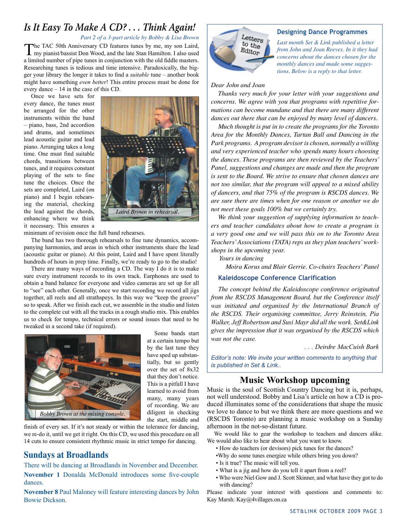## *Is It Easy To Make A CD? . . . Think Again!*

*Part 2 of a 3-part article by Bobby & Lisa Brown*

The TAC 50th Anniversary CD features tunes by me, my son Laird, my pianist/bassist Don Wood, and the late Stan Hamilton. I also used a limited number of pipe tunes in conjunction with the old fiddle masters. Researching tunes is tedious and time intensive. Paradoxically, the bigger your library the longer it takes to find a *suitable* tune – another book might have something *even better*! This entire process must be done for every dance – 14 in the case of this CD.

Once we have sets for every dance, the tunes must be arranged for the other instruments within the band – piano, bass, 2nd accordion and drums, and sometimes lead acoustic guitar and lead piano. Arranging takes a long time. One must find suitable chords, transitions between tunes, and it requires constant playing of the sets to fine tune the choices. Once the sets are completed, Laird (on piano) and I begin rehearsing the material, checking the lead against the chords, enhancing where we think it necessary. This ensures a



minimum of revision once the full band rehearses.

The band has two thorough rehearsals to fine tune dynamics, accompanying harmonies, and areas in which other instruments share the lead (acoustic guitar or piano). At this point, Laird and I have spent literally hundreds of hours in prep time. Finally, we're ready to go to the studio!

There are many ways of recording a CD. The way I do it is to make sure every instrument records to its own track. Earphones are used to obtain a band balance for everyone and video cameras are set up for all to "see" each other. Generally, once we start recording we record all jigs together, all reels and all strathspeys. In this way we "keep the groove" so to speak. After we finish each cut, we assemble in the studio and listen to the complete cut with all the tracks in a rough studio mix. This enables us to check for tempo, technical errors or sound issues that need to be tweaked in a second take (if required).



Some bands start at a certain tempo but by the last tune they have sped up substantially, but so gently over the set of 8x32 that they don't notice. This is a pitfall I have learned to avoid from many, many years of recording. We are diligent in checking the start, middle and

finish of every set. If it's not steady or within the tolerance for dancing, we re-do it, until we get it right. On this CD, we used this procedure on all 14 cuts to ensure consistent rhythmic music in strict tempo for dancing.

#### **Sundays at Broadlands**

There will be dancing at Broadlands in November and December. **November 1** Donalda McDonald introduces some five-couple dances.

**November 8** Paul Maloney will feature interesting dances by John Bowie Dickson.

# Letters to the Editor

#### **Designing Dance Programmes**

*Last month Set & Link published a letter from John and Joan Reeves. In it they had concerns about the dances chosen for the monthly dances and made some suggestions. Below is a reply to that letter.*

#### *Dear John and Joan*

*Thanks very much for your letter with your suggestions and concerns. We agree with you that programs with repetitive formations can become mundane and that there are many different dances out there that can be enjoyed by many level of dancers.*

*Much thought is put in to create the programs for the Toronto Area for the Monthly Dances, Tartan Ball and Dancing in the Park programs. A program devisor is chosen, normally a willing and very experienced teacher who spends many hours choosing the dances. These programs are then reviewed by the Teachers' Panel, suggestions and changes are made and then the program is sent to the Board. We strive to ensure that chosen dances are not too similar, that the program will appeal to a mixed ability of dancers, and that 75% of the program is RSCDS dances. We are sure there are times when for one reason or another we do not meet these goals 100% but we certainly try.* 

*We think your suggestion of supplying information to teachers and teacher candidates about how to create a program is a very good one and we will pass this on to the Toronto Area Teachers' Associations (TATA) reps as they plan teachers' workshops in the upcoming year.*

 *Yours in dancing*

*Moira Korus and Blair Gerrie. Co-chairs Teachers' Panel*

#### **Kaleidoscope Conference Clarification**

*The concept behind the Kaleidoscope conference originated from the RSCDS Management Board, but the Conference itself was initiated and organised by the International Branch of the RSCDS. Their organising committee, Jerry Reinstein, Pia Walker, Jeff Robertson and Susi Mayr did all the work. Set&Link gives the impression that it was organised by the RSCDS which was not the case.*

#### *. . . Deirdre MacCuish Bark*

*Editor's note: We invite your written comments to anything that is published in Set & Link..*

#### **Music Workshop upcoming**

Music is the soul of Scottish Country Dancing but it is, perhaps, not well understood. Bobby and Lisa's article on how a CD is produced illuminates some of the considerations that shape the music we love to dance to but we think there are more questions and we (RSCDS Toronto) are planning a music workshop on a Sunday afternoon in the not-so-distant future.

We would like to gear the workshop to teachers and dancers alike. We would also like to hear about what you want to know.

- How do teachers (or devisors) pick tunes for the dances?
- •Why do some tunes energize while others bring you down?
- Is it true? The music will tell you.
- What is a jig and how do you tell it apart from a reel?
- Who were Niel Gow and J. Scott Skinner, and what have they got to do with dancing?

Please indicate your interest with questions and comments to: Kay Marsh: Kay@4villages.on.ca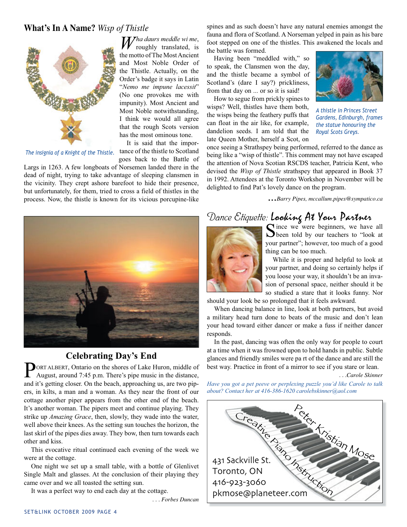#### **What's In A Name?** *Wisp of Thistle*

*Wha daurs meddle wi me*, roughly translated, is

It is said that the impor-



The insignia of a Knight of the Thistle. tance of the thistle to Scotland

goes back to the Battle of Largs in 1263. A few longboats of Norsemen landed there in the dead of night, trying to take advantage of sleeping clansmen in the vicinity. They crept ashore barefoot to hide their presence, but unfortunately, for them, tried to cross a field of thistles in the process. Now, the thistle is known for its vicious porcupine-like spines and as such doesn't have any natural enemies amongst the fauna and flora of Scotland. A Norseman yelped in pain as his bare foot stepped on one of the thistles. This awakened the locals and the battle was formed.

Having been "meddled with," so to speak, the Clansmen won the day, and the thistle became a symbol of Scotland's (dare I say?) prickliness, from that day on ... or so it is said!

How to segue from prickly spines to wisps? Well, thistles have them both, the wisps being the feathery puffs that can float in the air like, for example, dandelion seeds. I am told that the late Queen Mother, herself a Scot, on



*A thistle in Princes Street Gardens, Edinburgh, frames the statue honouring the Royal Scots Greys.*

once seeing a Strathspey being performed, referred to the dance as being like a "wisp of thistle". This comment may not have escaped the attention of Nova Scotian RSCDS teacher, Patricia Kent, who devised the *Wisp of Thistle* strathspey that appeared in Book 37 in 1992. Attendees at the Toronto Workshop in November will be delighted to find Pat's lovely dance on the program.

*...Barry Pipes, mccallum.pipes@sympatico.ca*



#### **Celebrating Day's End**

ORT ALBERT, Ontario on the shores of Lake Huron, middle of August, around 7:45 p.m. There's pipe music in the distance, and it's getting closer. On the beach, approaching us, are two pipers, in kilts, a man and a woman. As they near the front of our cottage another piper appears from the other end of the beach. It's another woman. The pipers meet and continue playing. They strike up *Amazing Grace*, then, slowly, they wade into the water, well above their knees. As the setting sun touches the horizon, the last skirl of the pipes dies away. They bow, then turn towards each other and kiss.

This evocative ritual continued each evening of the week we were at the cottage.

One night we set up a small table, with a bottle of Glenlivet Single Malt and glasses. At the conclusion of their playing they came over and we all toasted the setting sun.

It was a perfect way to end each day at the cottage.

*. . . Forbes Duncan*

# *Dance Etiquette:* Looking At Your Partner



Since we were beginners, we have all<br>
Sheen told by our teachers to "look at your partner"; however, too much of a good thing can be too much.

While it is proper and helpful to look at your partner, and doing so certainly helps if you loose your way, it shouldn't be an invasion of personal space, neither should it be so studied a stare that it looks funny. Nor

should your look be so prolonged that it feels awkward.

When dancing balance in line, look at both partners, but avoid a military head turn done to beats of the music and don't lean your head toward either dancer or make a fuss if neither dancer responds.

In the past, dancing was often the only way for people to court at a time when it was frowned upon to hold hands in public. Subtle glances and friendly smiles were pa rt of the dance and are still the best way. Practice in front of a mirror to see if you stare or lean.

 *. . .Carole Skinner* 

*Have you got a pet peeve or perplexing puzzle you'd like Carole to talk about? Contact her at 416-386-1620 carolebskinner@aol.com* 

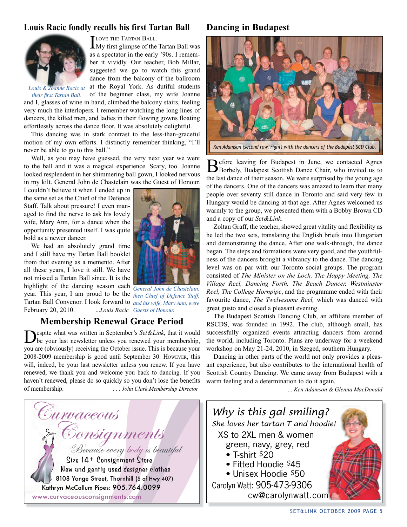#### **Louis Racic fondly recalls his first Tartan Ball**



LOVE THE TARTAN BALL.<br>My first glimpse of the Tartan Ball was as a spectator in the early '90s. I remember it vividly. Our teacher, Bob Millar, suggested we go to watch this grand dance from the balcony of the ballroom at the Royal York. As dutiful students

*Louis & Joanne Racic at their first Tartan Ball.* 

of the beginner class, my wife Joanne and I, glasses of wine in hand, climbed the balcony stairs, feeling very much the interlopers. I remember watching the long lines of dancers, the kilted men, and ladies in their flowing gowns floating effortlessly across the dance floor. It was absolutely delightful.

This dancing was in stark contrast to the less-than-graceful motion of my own efforts. I distinctly remember thinking, "I'll never be able to go to this ball."

Well, as you may have guessed, the very next year we went to the ball and it was a magical experience. Scary, too. Joanne looked resplendent in her shimmering ball gown, I looked nervous in my kilt. General John de Chastelain was the Guest of Honour.

I couldn't believe it when I ended up in the same set as the Chief of the Defence Staff. Talk about pressure! I even managed to find the nerve to ask his lovely wife, Mary Ann, for a dance when the opportunity presented itself. I was quite bold as a newer dancer.

We had an absolutely grand time and I still have my Tartan Ball booklet from that evening as a memento. After all these years, I love it still. We have not missed a Tartan Ball since. It is the highlight of the dancing season each *General John de Chastelain,*  year. This year, I am proud to be the *then Chief of Defence Staff,*  Tartan Ball Convenor. I look forward to *and his wife, Mary Ann, were*  February 20, 2010.

*Guests of Honour.*

#### **Membership Renewal Grace Period**

Despite what was written in September's *Set&Link*, that it would be your last newsletter unless you renewed your membership, you are (obviously) receiving the October issue. This is because your 2008-2009 membership is good until September 30. HOWEVER, this will, indeed, be your last newsletter unless you renew. If you have renewed, we thank you and welcome you back to dancing. If you haven't renewed, please do so quickly so you don't lose the benefits of membership. *. . . John Clark,Membership Director*



#### **Dancing in Budapest**



*Ken Adamson (second row, right) with the dancers of the Budapest SCD Club.*

Before leaving for Budapest in June, we contacted Agnes Borbely, Budapest Scottish Dance Chair, who invited us to the last dance of their season. We were surprised by the young age of the dancers. One of the dancers was amazed to learn that many people over seventy still dance in Toronto and said very few in Hungary would be dancing at that age. After Agnes welcomed us warmly to the group, we presented them with a Bobby Brown CD and a copy of our *Set&Link*.

Zoltan Graff, the teacher, showed great vitality and flexibility as he led the two sets, translating the English briefs into Hungarian and demonstrating the dance. After one walk-through, the dance began. The steps and formations were very good, and the youthfulness of the dancers brought a vibrancy to the dance. The dancing level was on par with our Toronto social groups. The program consisted of *The Minister on the Loch, The Happy Meeting, The Village Reel, Dancing Forth, The Beach Dancer, Westminster Reel, The College Hornpipe*, and the programme ended with their favourite dance, *The Twelvesome Reel,* which was danced with great gusto and closed a pleasant evening.

The Budapest Scottish Dancing Club, an affiliate member of RSCDS, was founded in 1992. The club, although small, has successfully organized events attracting dancers from around the world, including Toronto. Plans are underway for a weekend workshop on May 21-24, 2010, in Szeged, southern Hungary.

Dancing in other parts of the world not only provides a pleasant experience, but also contributes to the international health of Scottish Country Dancing. We came away from Budapest with a warm feeling and a determination to do it again.

*... Ken Adamson & Glenna MacDonald*